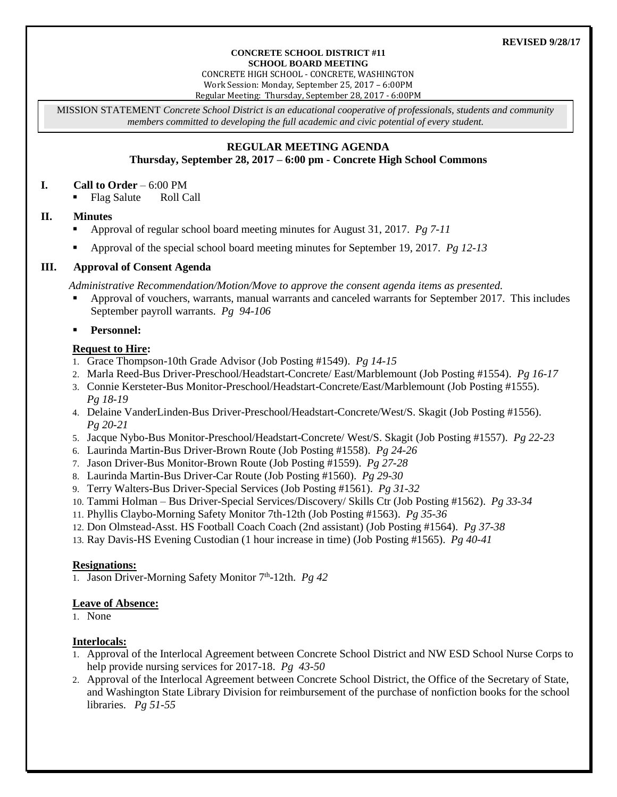#### **CONCRETE SCHOOL DISTRICT #11 SCHOOL BOARD MEETING**

CONCRETE HIGH SCHOOL - CONCRETE, WASHINGTON Work Session: Monday, September 25, 2017 – 6:00PM Regular Meeting: Thursday, September 28, 2017 - 6:00PM

MISSION STATEMENT *Concrete School District is an educational cooperative of professionals, students and community members committed to developing the full academic and civic potential of every student.*

# **REGULAR MEETING AGENDA**

### **Thursday, September 28, 2017 – 6:00 pm - Concrete High School Commons**

### **I. Call to Order** – 6:00 PM

• Flag Salute Roll Call

### **II. Minutes**

- Approval of regular school board meeting minutes for August 31, 2017. *Pg 7-11*
- Approval of the special school board meeting minutes for September 19, 2017. *Pg 12-13*

### **III. Approval of Consent Agenda**

*Administrative Recommendation/Motion/Move to approve the consent agenda items as presented.*

 Approval of vouchers, warrants, manual warrants and canceled warrants for September 2017. This includes September payroll warrants. *Pg 94-106*

### **Personnel:**

### **Request to Hire:**

- 1. Grace Thompson-10th Grade Advisor (Job Posting #1549). *Pg 14-15*
- 2. Marla Reed-Bus Driver-Preschool/Headstart-Concrete/ East/Marblemount (Job Posting #1554). *Pg 16-17*
- 3. Connie Kersteter-Bus Monitor-Preschool/Headstart-Concrete/East/Marblemount (Job Posting #1555). *Pg 18-19*
- 4. Delaine VanderLinden-Bus Driver-Preschool/Headstart-Concrete/West/S. Skagit (Job Posting #1556). *Pg 20-21*
- 5. Jacque Nybo-Bus Monitor-Preschool/Headstart-Concrete/ West/S. Skagit (Job Posting #1557). *Pg 22-23*
- 6. Laurinda Martin-Bus Driver-Brown Route (Job Posting #1558). *Pg 24-26*
- 7. Jason Driver-Bus Monitor-Brown Route (Job Posting #1559). *Pg 27-28*
- 8. Laurinda Martin-Bus Driver-Car Route (Job Posting #1560). *Pg 29-30*
- 9. Terry Walters-Bus Driver-Special Services (Job Posting #1561). *Pg 31-32*
- 10. Tammi Holman Bus Driver-Special Services/Discovery/ Skills Ctr (Job Posting #1562). *Pg 33-34*
- 11. Phyllis Claybo-Morning Safety Monitor 7th-12th (Job Posting #1563). *Pg 35-36*
- 12. Don Olmstead-Asst. HS Football Coach Coach (2nd assistant) (Job Posting #1564). *Pg 37-38*
- 13. Ray Davis-HS Evening Custodian (1 hour increase in time) (Job Posting #1565). *Pg 40-41*

### **Resignations:**

1. Jason Driver-Morning Safety Monitor 7th -12th. *Pg 42*

### **Leave of Absence:**

1. None

### **Interlocals:**

- 1. Approval of the Interlocal Agreement between Concrete School District and NW ESD School Nurse Corps to help provide nursing services for 2017-18. *Pg 43-50*
- 2. Approval of the Interlocal Agreement between Concrete School District, the Office of the Secretary of State, and Washington State Library Division for reimbursement of the purchase of nonfiction books for the school libraries. *Pg 51-55*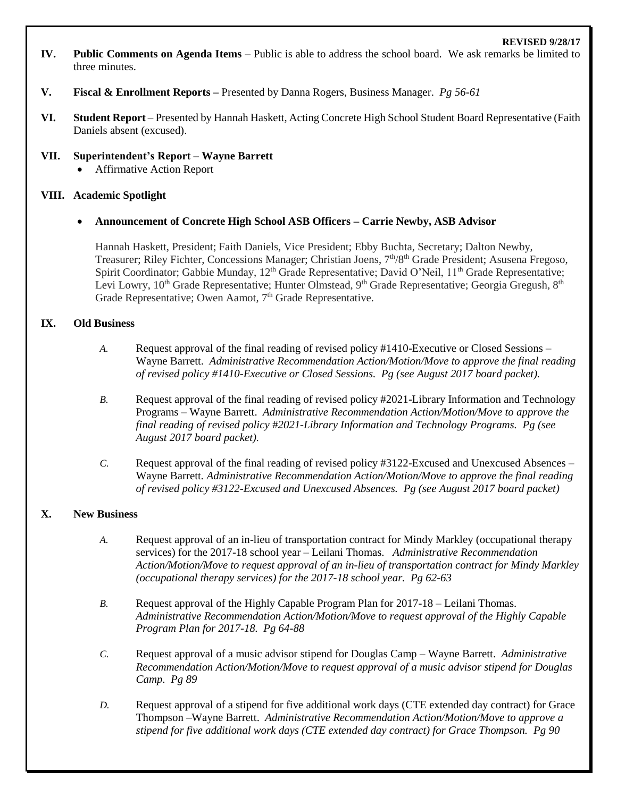- **IV. Public Comments on Agenda Items** Public is able to address the school board. We ask remarks be limited to three minutes.
- **V. Fiscal & Enrollment Reports –** Presented by Danna Rogers, Business Manager. *Pg 56-61*
- **VI. Student Report** Presented by Hannah Haskett, Acting Concrete High School Student Board Representative (Faith Daniels absent (excused).
- **VII. Superintendent's Report – Wayne Barrett**
	- Affirmative Action Report

### **VIII. Academic Spotlight**

**Announcement of Concrete High School ASB Officers – Carrie Newby, ASB Advisor** 

Hannah Haskett, President; Faith Daniels, Vice President; Ebby Buchta, Secretary; Dalton Newby, Treasurer; Riley Fichter, Concessions Manager; Christian Joens, 7<sup>th</sup>/8<sup>th</sup> Grade President; Asusena Fregoso, Spirit Coordinator; Gabbie Munday, 12<sup>th</sup> Grade Representative; David O'Neil, 11<sup>th</sup> Grade Representative; Levi Lowry, 10<sup>th</sup> Grade Representative; Hunter Olmstead, 9<sup>th</sup> Grade Representative; Georgia Gregush, 8<sup>th</sup> Grade Representative; Owen Aamot, 7<sup>th</sup> Grade Representative.

### **IX. Old Business**

- *A.* Request approval of the final reading of revised policy #1410-Executive or Closed Sessions Wayne Barrett. *Administrative Recommendation Action/Motion/Move to approve the final reading of revised policy #1410-Executive or Closed Sessions. Pg (see August 2017 board packet).*
- *B.* Request approval of the final reading of revised policy #2021-Library Information and Technology Programs – Wayne Barrett. *Administrative Recommendation Action/Motion/Move to approve the final reading of revised policy* #*2021-Library Information and Technology Programs. Pg (see August 2017 board packet).*
- *C.* Request approval of the final reading of revised policy #3122-Excused and Unexcused Absences Wayne Barrett*. Administrative Recommendation Action/Motion/Move to approve the final reading of revised policy #3122-Excused and Unexcused Absences. Pg (see August 2017 board packet)*

## **X. New Business**

- *A.* Request approval of an in-lieu of transportation contract for Mindy Markley (occupational therapy services) for the 2017-18 school year – Leilani Thomas. *Administrative Recommendation Action/Motion/Move to request approval of an in-lieu of transportation contract for Mindy Markley (occupational therapy services) for the 2017-18 school year. Pg 62-63*
- *B.* Request approval of the Highly Capable Program Plan for 2017-18 Leilani Thomas. *Administrative Recommendation Action/Motion/Move to request approval of the Highly Capable Program Plan for 2017-18. Pg 64-88*
- *C.* Request approval of a music advisor stipend for Douglas Camp Wayne Barrett. *Administrative Recommendation Action/Motion/Move to request approval of a music advisor stipend for Douglas Camp*. *Pg 89*
- *D.* Request approval of a stipend for five additional work days (CTE extended day contract) for Grace Thompson –Wayne Barrett. *Administrative Recommendation Action/Motion/Move to approve a stipend for five additional work days (CTE extended day contract) for Grace Thompson. Pg 90*